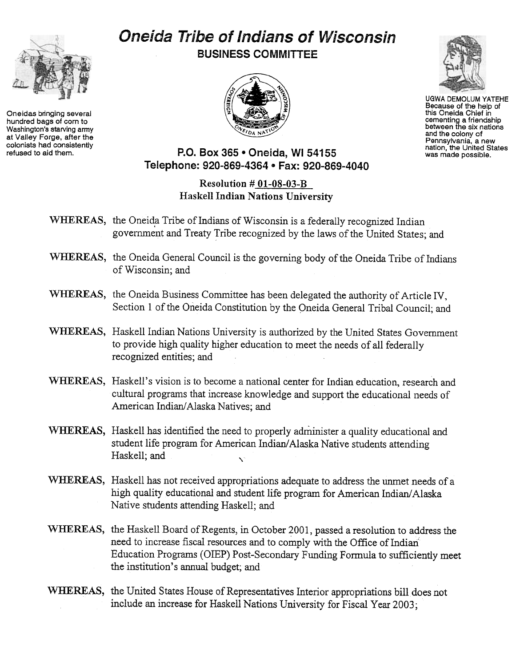## Oneida Tribe of Indians of Wisconsin



Oneidas bringing several hundred bags of com to Washington's starving army at Valley Forge, after the colonists had consistently<br>refused to aid them. BUSINESS COMMITTEE





UGWA DEMOLUM YATEHE Because of the help of this Oneida Chief in cementing a friendship between the six nations and the colony of Pennsylvania, a new nation, the United States was made possible.

P.O. Box 365 . Oneida, WI 54155 Telephone: 920-869-4364 · Fax: 920-869-4040

> Resolution  $#01-08-03-B$ Haskell Indian Nations University

- WHEREAS, the Oneida Tribe of Indians of Wisconsin is a federally recognized Indian government and Treaty Tribe recognized by the laws of the United States; and
- WHEREAS, the Oneida General Council is the governing body of the Oneida Tribe of Indians of Wisconsin; and
- WHEREAS, the Oneida Business Committee has been delegated the authority of Article IV, Section 1 of the Oneida Constitution by the Qneida General Tribal Council; and
- WHEREAS, Haskell Indian Nations University is authorized by the United States Government to provide high quality higher education to meet the needs of all federally recognized entities; and
- WHEREAS, Haskell's vision is to become a national center for Indian education, research and cultural programs that increase knowledge and support the educational needs of American Indian/Alaska Natives; and
- WHEREAS, Haskell has identified the need to properly administer a quality educational and student life program for American Indian/Alaska Native students attending Haskell; and  $\sim$
- WHEREAS, Haskell has not received appropriations adequate to address the unmet needs of a high quality educational and student life program for American Indian/Alaska Native students attending Haskell; and
- WHEREAS, the Haskell Board of Regents, in October 2001, passed a resolution to address the need to increase fiscal resources and to comply with the Office of Indian Education Programs (OIEP) Post-Secondary Funding Formula to sufficiently meet. the institution's annual budget; and
- WHEREAS, the United States House of Representatives Interior appropriations bill does not include an increase for Haskell Nations University for Fiscal Year 2003;